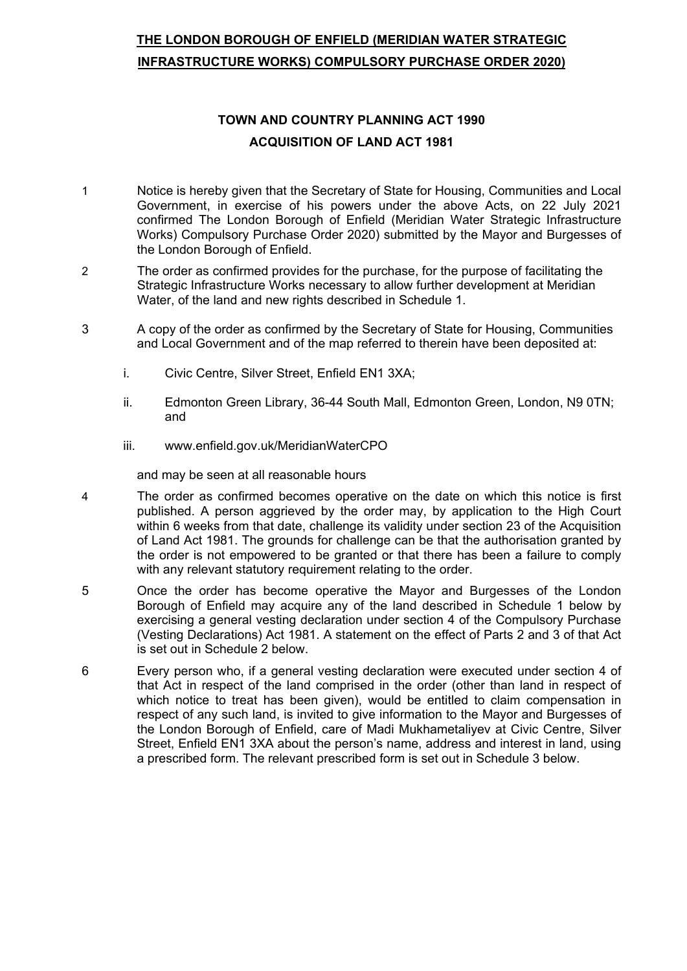# **THE LONDON BOROUGH OF ENFIELD (MERIDIAN WATER STRATEGIC INFRASTRUCTURE WORKS) COMPULSORY PURCHASE ORDER 2020)**

# **TOWN AND COUNTRY PLANNING ACT 1990 ACQUISITION OF LAND ACT 1981**

- 1 Notice is hereby given that the Secretary of State for Housing, Communities and Local Government, in exercise of his powers under the above Acts, on 22 July 2021 confirmed The London Borough of Enfield (Meridian Water Strategic Infrastructure Works) Compulsory Purchase Order 2020) submitted by the Mayor and Burgesses of the London Borough of Enfield.
- 2 The order as confirmed provides for the purchase, for the purpose of facilitating the Strategic Infrastructure Works necessary to allow further development at Meridian Water, of the land and new rights described in Schedule 1.
- 3 A copy of the order as confirmed by the Secretary of State for Housing, Communities and Local Government and of the map referred to therein have been deposited at:
	- i. Civic Centre, Silver Street, Enfield EN1 3XA;
	- ii. Edmonton Green Library, 36-44 South Mall, Edmonton Green, London, N9 0TN; and
	- iii. www.enfield.gov.uk/MeridianWaterCPO

and may be seen at all reasonable hours

- 4 The order as confirmed becomes operative on the date on which this notice is first published. A person aggrieved by the order may, by application to the High Court within 6 weeks from that date, challenge its validity under section 23 of the Acquisition of Land Act 1981. The grounds for challenge can be that the authorisation granted by the order is not empowered to be granted or that there has been a failure to comply with any relevant statutory requirement relating to the order.
- 5 Once the order has become operative the Mayor and Burgesses of the London Borough of Enfield may acquire any of the land described in Schedule 1 below by exercising a general vesting declaration under section 4 of the Compulsory Purchase (Vesting Declarations) Act 1981. A statement on the effect of Parts 2 and 3 of that Act is set out in Schedule 2 below.
- 6 Every person who, if a general vesting declaration were executed under section 4 of that Act in respect of the land comprised in the order (other than land in respect of which notice to treat has been given), would be entitled to claim compensation in respect of any such land, is invited to give information to the Mayor and Burgesses of the London Borough of Enfield, care of Madi Mukhametaliyev at Civic Centre, Silver Street, Enfield EN1 3XA about the person's name, address and interest in land, using a prescribed form. The relevant prescribed form is set out in Schedule 3 below.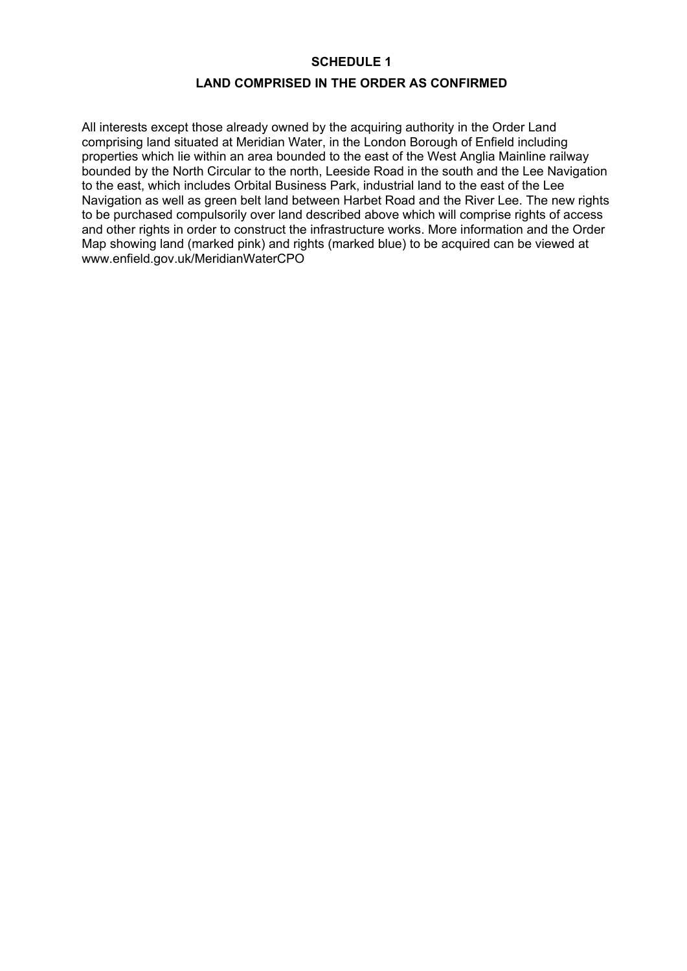#### **SCHEDULE 1**

### **LAND COMPRISED IN THE ORDER AS CONFIRMED**

All interests except those already owned by the acquiring authority in the Order Land comprising land situated at Meridian Water, in the London Borough of Enfield including properties which lie within an area bounded to the east of the West Anglia Mainline railway bounded by the North Circular to the north, Leeside Road in the south and the Lee Navigation to the east, which includes Orbital Business Park, industrial land to the east of the Lee Navigation as well as green belt land between Harbet Road and the River Lee. The new rights to be purchased compulsorily over land described above which will comprise rights of access and other rights in order to construct the infrastructure works. More information and the Order Map showing land (marked pink) and rights (marked blue) to be acquired can be viewed at www.enfield.gov.uk/MeridianWaterCPO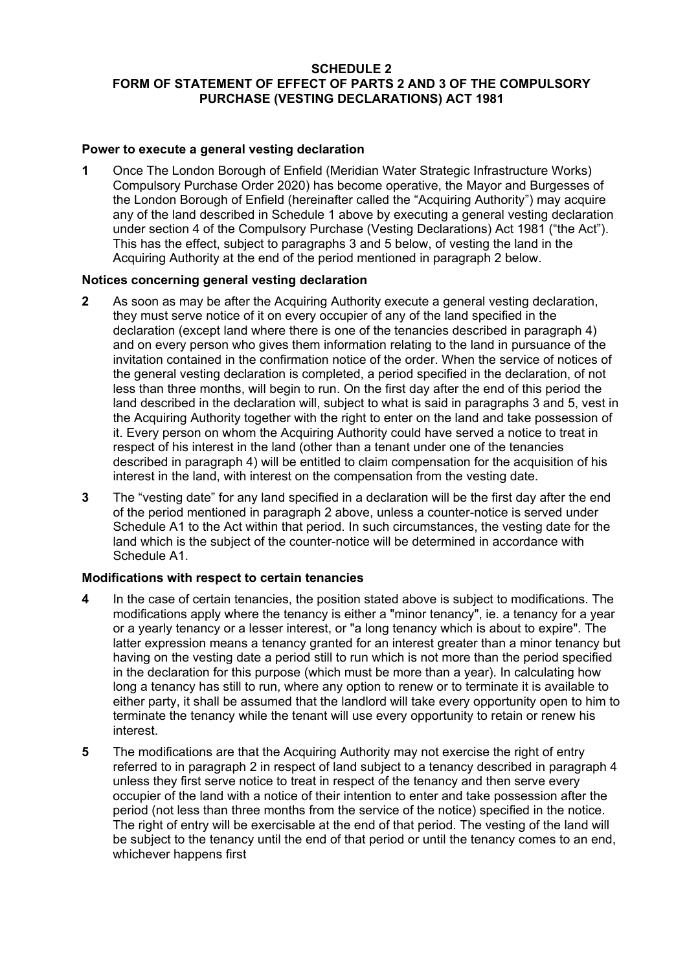#### **SCHEDULE 2 FORM OF STATEMENT OF EFFECT OF PARTS 2 AND 3 OF THE COMPULSORY PURCHASE (VESTING DECLARATIONS) ACT 1981**

### **Power to execute a general vesting declaration**

**1** Once The London Borough of Enfield (Meridian Water Strategic Infrastructure Works) Compulsory Purchase Order 2020) has become operative, the Mayor and Burgesses of the London Borough of Enfield (hereinafter called the "Acquiring Authority") may acquire any of the land described in Schedule 1 above by executing a general vesting declaration under section 4 of the Compulsory Purchase (Vesting Declarations) Act 1981 ("the Act"). This has the effect, subject to paragraphs 3 and 5 below, of vesting the land in the Acquiring Authority at the end of the period mentioned in paragraph 2 below.

#### **Notices concerning general vesting declaration**

- **2** As soon as may be after the Acquiring Authority execute a general vesting declaration, they must serve notice of it on every occupier of any of the land specified in the declaration (except land where there is one of the tenancies described in paragraph 4) and on every person who gives them information relating to the land in pursuance of the invitation contained in the confirmation notice of the order. When the service of notices of the general vesting declaration is completed, a period specified in the declaration, of not less than three months, will begin to run. On the first day after the end of this period the land described in the declaration will, subject to what is said in paragraphs 3 and 5, vest in the Acquiring Authority together with the right to enter on the land and take possession of it. Every person on whom the Acquiring Authority could have served a notice to treat in respect of his interest in the land (other than a tenant under one of the tenancies described in paragraph 4) will be entitled to claim compensation for the acquisition of his interest in the land, with interest on the compensation from the vesting date.
- **3** The "vesting date" for any land specified in a declaration will be the first day after the end of the period mentioned in paragraph 2 above, unless a counter-notice is served under Schedule A1 to the Act within that period. In such circumstances, the vesting date for the land which is the subject of the counter-notice will be determined in accordance with Schedule A1.

#### **Modifications with respect to certain tenancies**

- **4** In the case of certain tenancies, the position stated above is subject to modifications. The modifications apply where the tenancy is either a "minor tenancy", ie. a tenancy for a year or a yearly tenancy or a lesser interest, or "a long tenancy which is about to expire". The latter expression means a tenancy granted for an interest greater than a minor tenancy but having on the vesting date a period still to run which is not more than the period specified in the declaration for this purpose (which must be more than a year). In calculating how long a tenancy has still to run, where any option to renew or to terminate it is available to either party, it shall be assumed that the landlord will take every opportunity open to him to terminate the tenancy while the tenant will use every opportunity to retain or renew his interest.
- **5** The modifications are that the Acquiring Authority may not exercise the right of entry referred to in paragraph 2 in respect of land subject to a tenancy described in paragraph 4 unless they first serve notice to treat in respect of the tenancy and then serve every occupier of the land with a notice of their intention to enter and take possession after the period (not less than three months from the service of the notice) specified in the notice. The right of entry will be exercisable at the end of that period. The vesting of the land will be subject to the tenancy until the end of that period or until the tenancy comes to an end, whichever happens first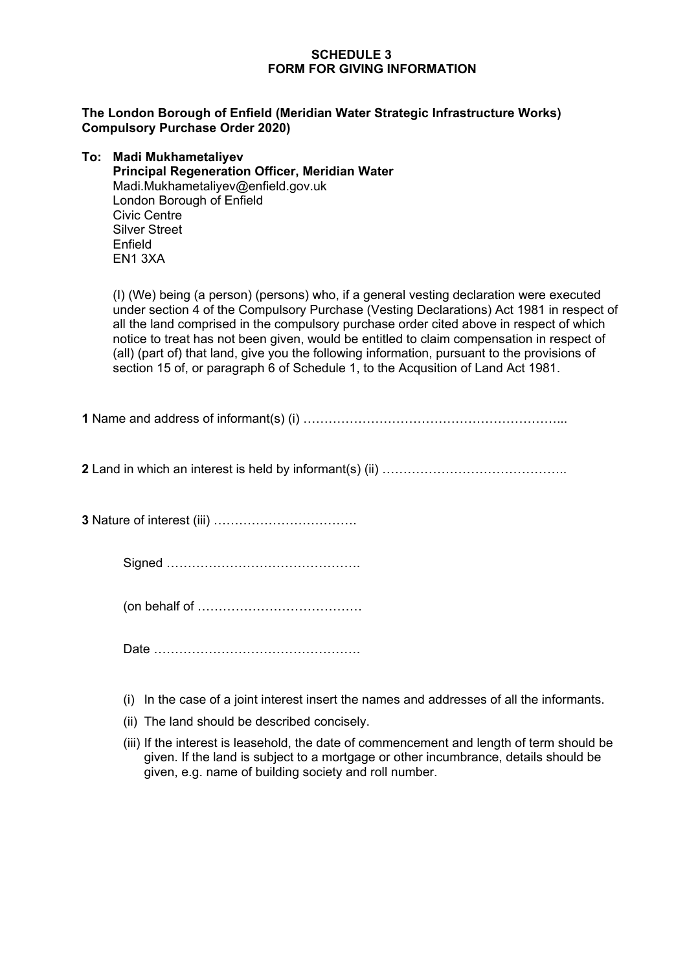### **SCHEDULE 3 FORM FOR GIVING INFORMATION**

#### **The London Borough of Enfield (Meridian Water Strategic Infrastructure Works) Compulsory Purchase Order 2020)**

| To: Madi Mukhametaliyev                               |
|-------------------------------------------------------|
| <b>Principal Regeneration Officer, Meridian Water</b> |
| Madi.Mukhametaliyev@enfield.gov.uk                    |
| London Borough of Enfield                             |
| <b>Civic Centre</b>                                   |
| <b>Silver Street</b>                                  |
| Enfield                                               |
| EN <sub>1</sub> 3XA                                   |
|                                                       |

(I) (We) being (a person) (persons) who, if a general vesting declaration were executed under section 4 of the Compulsory Purchase (Vesting Declarations) Act 1981 in respect of all the land comprised in the compulsory purchase order cited above in respect of which notice to treat has not been given, would be entitled to claim compensation in respect of (all) (part of) that land, give you the following information, pursuant to the provisions of section 15 of, or paragraph 6 of Schedule 1, to the Acqusition of Land Act 1981.

**1** Name and address of informant(s) (i) ……………………………………………………...

**2** Land in which an interest is held by informant(s) (ii) ……………………………………..

**3** Nature of interest (iii) …………………………….

Signed ……………………………………….

(on behalf of …………………………………

Date ………………………………………….

(i) In the case of a joint interest insert the names and addresses of all the informants.

- (ii) The land should be described concisely.
- (iii) If the interest is leasehold, the date of commencement and length of term should be given. If the land is subject to a mortgage or other incumbrance, details should be given, e.g. name of building society and roll number.